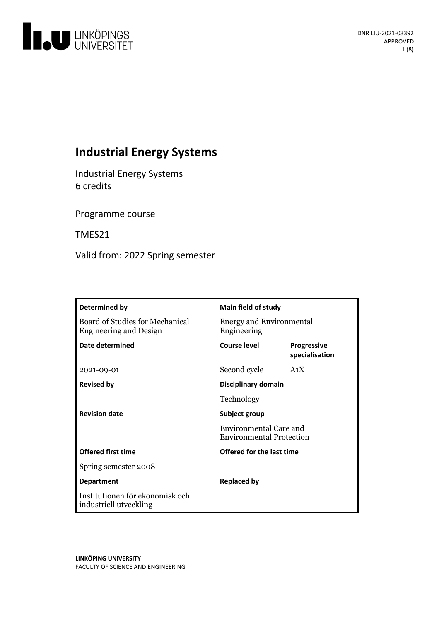

# **Industrial Energy Systems**

Industrial Energy Systems 6 credits

Programme course

TMES21

Valid from: 2022 Spring semester

| Determined by                                                    | Main field of study                                                               |                                      |
|------------------------------------------------------------------|-----------------------------------------------------------------------------------|--------------------------------------|
| Board of Studies for Mechanical<br><b>Engineering and Design</b> | <b>Energy and Environmental</b><br>Engineering                                    |                                      |
| Date determined                                                  | Course level                                                                      | <b>Progressive</b><br>specialisation |
| 2021-09-01                                                       | Second cycle                                                                      | A <sub>1</sub> X                     |
| <b>Revised by</b>                                                | Disciplinary domain                                                               |                                      |
|                                                                  | Technology                                                                        |                                      |
| <b>Revision date</b>                                             | Subject group<br><b>Environmental Care and</b><br><b>Environmental Protection</b> |                                      |
|                                                                  |                                                                                   |                                      |
| <b>Offered first time</b>                                        | Offered for the last time                                                         |                                      |
| Spring semester 2008                                             |                                                                                   |                                      |
| <b>Department</b>                                                | <b>Replaced by</b>                                                                |                                      |
| Institutionen för ekonomisk och<br>industriell utveckling        |                                                                                   |                                      |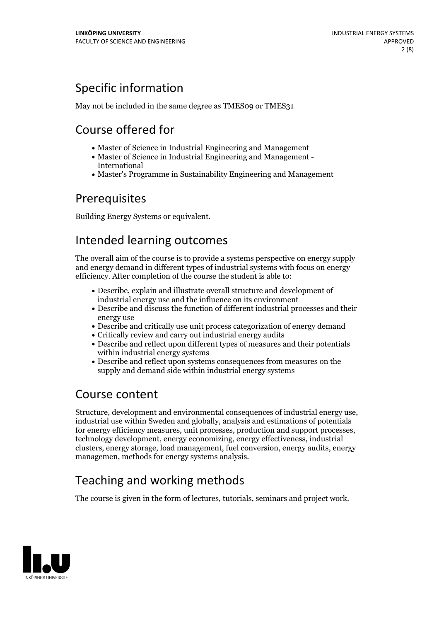# Specific information

May not be included in the same degree as TMES09 or TMES31

# Course offered for

- Master of Science in Industrial Engineering and Management
- Master of Science in Industrial Engineering and Management International
- Master's Programme in Sustainability Engineering and Management

# Prerequisites

Building Energy Systems or equivalent.

# Intended learning outcomes

The overall aim of the course is to provide a systems perspective on energy supply and energy demand in different types of industrial systems with focus on energy efficiency. After completion of the course the student is able to:

- Describe, explain and illustrate overall structure and development of industrial energy use and the influence on its environment
- Describe and discuss the function of different industrial processes and their energy use
- Describe and critically use unit process categorization of energy demand
- Critically review and carry out industrial energy audits
- Describe and reflect upon different types of measures and their potentials within industrial energy systems
- Describe and reflect upon systems consequences from measures on the supply and demand side within industrial energy systems

# Course content

Structure, development and environmental consequences of industrial energy use, industrial use within Sweden and globally, analysis and estimations of potentials for energy efficiency measures, unit processes, production and support processes, technology development, energy economizing, energy effectiveness, industrial clusters, energy storage, load management, fuel conversion, energy audits, energy managemen, methods for energy systems analysis.

# Teaching and working methods

The course is given in the form of lectures, tutorials, seminars and project work.

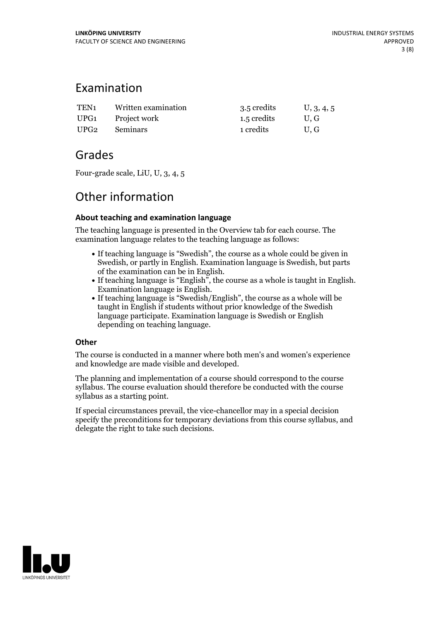# Examination

| TEN <sub>1</sub> | Written examination | 3.5 credits | U, 3, 4, 5 |
|------------------|---------------------|-------------|------------|
| UPG1             | Project work        | 1.5 credits | U.G        |
| UPG <sub>2</sub> | Seminars            | 1 credits   | U.G        |

# Grades

Four-grade scale, LiU, U, 3, 4, 5

# Other information

## **About teaching and examination language**

The teaching language is presented in the Overview tab for each course. The examination language relates to the teaching language as follows:

- If teaching language is "Swedish", the course as a whole could be given in Swedish, or partly in English. Examination language is Swedish, but parts
- If teaching language is "English", the course as a whole is taught in English. Examination language is English. <br>• If teaching language is "Swedish/English", the course as a whole will be
- taught in English if students without prior knowledge of the Swedish language participate. Examination language is Swedish or English depending on teaching language.

### **Other**

The course is conducted in a manner where both men's and women's experience and knowledge are made visible and developed.

The planning and implementation of a course should correspond to the course syllabus. The course evaluation should therefore be conducted with the course syllabus as a starting point.

If special circumstances prevail, the vice-chancellor may in a special decision specify the preconditions for temporary deviations from this course syllabus, and delegate the right to take such decisions.

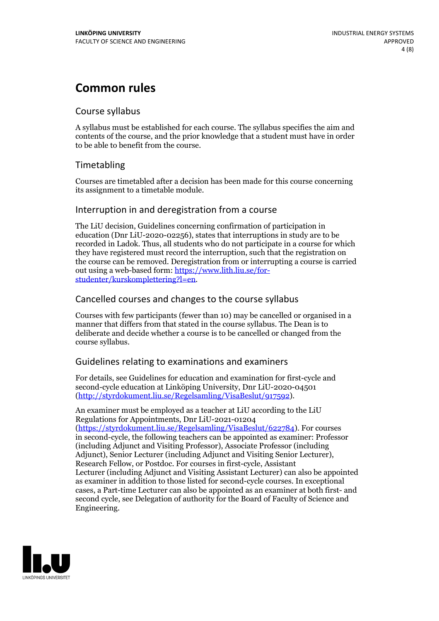# **Common rules**

## Course syllabus

A syllabus must be established for each course. The syllabus specifies the aim and contents of the course, and the prior knowledge that a student must have in order to be able to benefit from the course.

## Timetabling

Courses are timetabled after a decision has been made for this course concerning its assignment to a timetable module.

## Interruption in and deregistration from a course

The LiU decision, Guidelines concerning confirmation of participation in education (Dnr LiU-2020-02256), states that interruptions in study are to be recorded in Ladok. Thus, all students who do not participate in a course for which they have registered must record the interruption, such that the registration on the course can be removed. Deregistration from or interrupting a course is carried out using <sup>a</sup> web-based form: https://www.lith.liu.se/for- [studenter/kurskomplettering?l=en.](https://www.lith.liu.se/for-studenter/kurskomplettering?l=en)

## Cancelled courses and changes to the course syllabus

Courses with few participants (fewer than 10) may be cancelled or organised in a manner that differs from that stated in the course syllabus. The Dean is to deliberate and decide whether a course is to be cancelled or changed from the course syllabus.

## Guidelines relating to examinations and examiners

For details, see Guidelines for education and examination for first-cycle and second-cycle education at Linköping University, Dnr LiU-2020-04501 [\(http://styrdokument.liu.se/Regelsamling/VisaBeslut/917592\)](http://styrdokument.liu.se/Regelsamling/VisaBeslut/917592).

An examiner must be employed as a teacher at LiU according to the LiU Regulations for Appointments, Dnr LiU-2021-01204 [\(https://styrdokument.liu.se/Regelsamling/VisaBeslut/622784](https://styrdokument.liu.se/Regelsamling/VisaBeslut/622784)). For courses in second-cycle, the following teachers can be appointed as examiner: Professor (including Adjunct and Visiting Professor), Associate Professor (including Adjunct), Senior Lecturer (including Adjunct and Visiting Senior Lecturer), Research Fellow, or Postdoc. For courses in first-cycle, Assistant Lecturer (including Adjunct and Visiting Assistant Lecturer) can also be appointed as examiner in addition to those listed for second-cycle courses. In exceptional cases, a Part-time Lecturer can also be appointed as an examiner at both first- and second cycle, see Delegation of authority for the Board of Faculty of Science and Engineering.

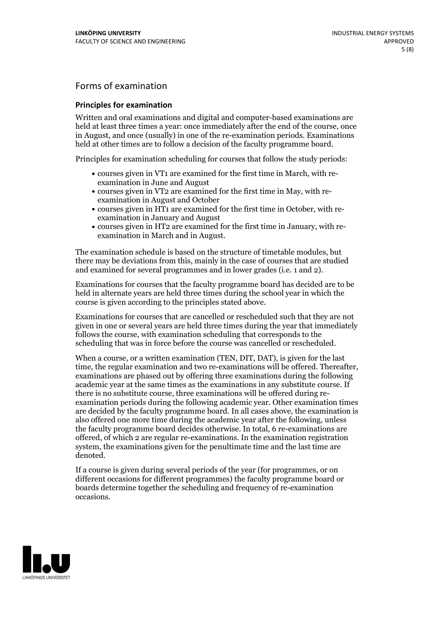## Forms of examination

#### **Principles for examination**

Written and oral examinations and digital and computer-based examinations are held at least three times a year: once immediately after the end of the course, once in August, and once (usually) in one of the re-examination periods. Examinations held at other times are to follow a decision of the faculty programme board.

Principles for examination scheduling for courses that follow the study periods:

- courses given in VT1 are examined for the first time in March, with re-examination in June and August
- courses given in VT2 are examined for the first time in May, with re-examination in August and October
- courses given in HT1 are examined for the first time in October, with re-examination in January and August
- courses given in HT2 are examined for the first time in January, with re-examination in March and in August.

The examination schedule is based on the structure of timetable modules, but there may be deviations from this, mainly in the case of courses that are studied and examined for several programmes and in lower grades (i.e. 1 and 2).

Examinations for courses that the faculty programme board has decided are to be held in alternate years are held three times during the school year in which the course is given according to the principles stated above.

Examinations for courses that are cancelled orrescheduled such that they are not given in one or several years are held three times during the year that immediately follows the course, with examination scheduling that corresponds to the scheduling that was in force before the course was cancelled or rescheduled.

When a course, or a written examination (TEN, DIT, DAT), is given for the last time, the regular examination and two re-examinations will be offered. Thereafter, examinations are phased out by offering three examinations during the following academic year at the same times as the examinations in any substitute course. If there is no substitute course, three examinations will be offered during re- examination periods during the following academic year. Other examination times are decided by the faculty programme board. In all cases above, the examination is also offered one more time during the academic year after the following, unless the faculty programme board decides otherwise. In total, 6 re-examinations are offered, of which 2 are regular re-examinations. In the examination registration system, the examinations given for the penultimate time and the last time are denoted.

If a course is given during several periods of the year (for programmes, or on different occasions for different programmes) the faculty programme board or boards determine together the scheduling and frequency of re-examination occasions.

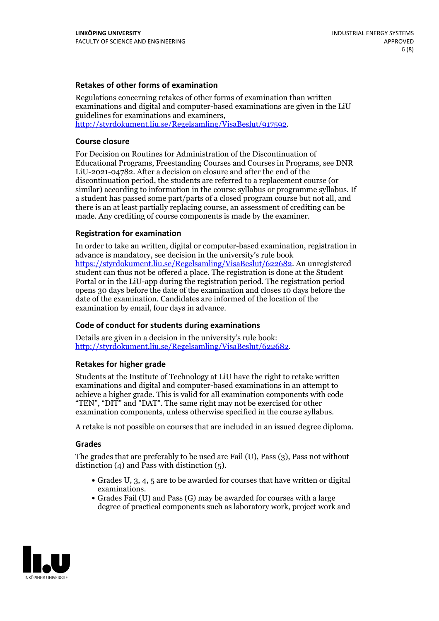### **Retakes of other forms of examination**

Regulations concerning retakes of other forms of examination than written examinations and digital and computer-based examinations are given in the LiU guidelines for examinations and examiners, [http://styrdokument.liu.se/Regelsamling/VisaBeslut/917592.](http://styrdokument.liu.se/Regelsamling/VisaBeslut/917592)

#### **Course closure**

For Decision on Routines for Administration of the Discontinuation of Educational Programs, Freestanding Courses and Courses in Programs, see DNR LiU-2021-04782. After a decision on closure and after the end of the discontinuation period, the students are referred to a replacement course (or similar) according to information in the course syllabus or programme syllabus. If a student has passed some part/parts of a closed program course but not all, and there is an at least partially replacing course, an assessment of crediting can be made. Any crediting of course components is made by the examiner.

#### **Registration for examination**

In order to take an written, digital or computer-based examination, registration in advance is mandatory, see decision in the university's rule book [https://styrdokument.liu.se/Regelsamling/VisaBeslut/622682.](https://styrdokument.liu.se/Regelsamling/VisaBeslut/622682) An unregistered student can thus not be offered a place. The registration is done at the Student Portal or in the LiU-app during the registration period. The registration period opens 30 days before the date of the examination and closes 10 days before the date of the examination. Candidates are informed of the location of the examination by email, four days in advance.

#### **Code of conduct for students during examinations**

Details are given in a decision in the university's rule book: <http://styrdokument.liu.se/Regelsamling/VisaBeslut/622682>.

#### **Retakes for higher grade**

Students at the Institute of Technology at LiU have the right to retake written examinations and digital and computer-based examinations in an attempt to achieve a higher grade. This is valid for all examination components with code "TEN", "DIT" and "DAT". The same right may not be exercised for other examination components, unless otherwise specified in the course syllabus.

A retake is not possible on courses that are included in an issued degree diploma.

#### **Grades**

The grades that are preferably to be used are Fail (U), Pass (3), Pass not without distinction  $(4)$  and Pass with distinction  $(5)$ .

- Grades U, 3, 4, 5 are to be awarded for courses that have written or digital examinations.<br>• Grades Fail (U) and Pass (G) may be awarded for courses with a large
- degree of practical components such as laboratory work, project work and

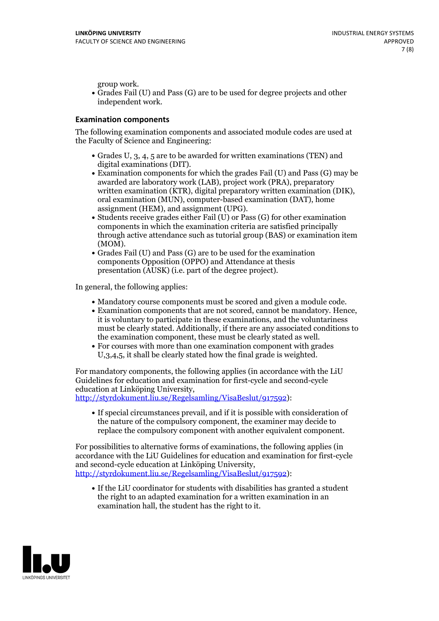group work.<br>• Grades Fail (U) and Pass (G) are to be used for degree projects and other independent work.

### **Examination components**

The following examination components and associated module codes are used at the Faculty of Science and Engineering:

- Grades U, 3, 4, 5 are to be awarded for written examinations (TEN) and
- digital examinations (DIT).<br>• Examination components for which the grades Fail (U) and Pass (G) may be awarded are laboratory work (LAB), project work (PRA), preparatory written examination (KTR), digital preparatory written examination (DIK), oral examination (MUN), computer-based examination (DAT), home
- assignment (HEM), and assignment (UPG).<br>• Students receive grades either Fail (U) or Pass (G) for other examination components in which the examination criteria are satisfied principally through active attendance such as tutorial group (BAS) or examination item
- (MOM).<br>• Grades Fail (U) and Pass (G) are to be used for the examination components Opposition (OPPO) and Attendance at thesis presentation (AUSK) (i.e. part of the degree project).

In general, the following applies:

- 
- Mandatory course components must be scored and given <sup>a</sup> module code. Examination components that are not scored, cannot be mandatory. Hence, it is voluntary to participate in these examinations, and the voluntariness must be clearly stated. Additionally, if there are any associated conditions to
- the examination component, these must be clearly stated as well.<br>• For courses with more than one examination component with grades U,3,4,5, it shall be clearly stated how the final grade is weighted.

For mandatory components, the following applies (in accordance with the LiU Guidelines for education and examination for first-cycle and second-cycle education at Linköping University,<br>[http://styrdokument.liu.se/Regelsamling/VisaBeslut/917592\)](http://styrdokument.liu.se/Regelsamling/VisaBeslut/917592):

If special circumstances prevail, and if it is possible with consideration of the nature of the compulsory component, the examiner may decide to replace the compulsory component with another equivalent component.

For possibilities to alternative forms of examinations, the following applies (in accordance with the LiU Guidelines for education and examination for first-cycle [http://styrdokument.liu.se/Regelsamling/VisaBeslut/917592\)](http://styrdokument.liu.se/Regelsamling/VisaBeslut/917592):

If the LiU coordinator for students with disabilities has granted a student the right to an adapted examination for a written examination in an examination hall, the student has the right to it.